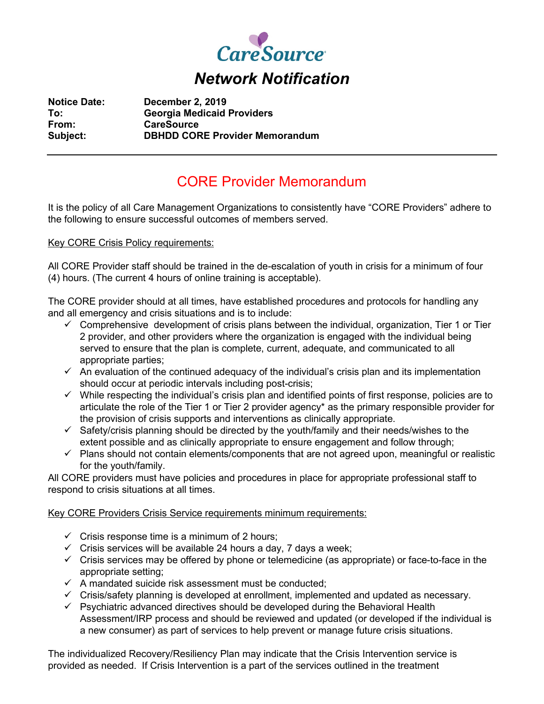

**Notice Date: December 2, 2019 To: Georgia Medicaid Providers From: CareSource Subject: DBHDD CORE Provider Memorandum**

## CORE Provider Memorandum

It is the policy of all Care Management Organizations to consistently have "CORE Providers" adhere to the following to ensure successful outcomes of members served.

Key CORE Crisis Policy requirements:

All CORE Provider staff should be trained in the de-escalation of youth in crisis for a minimum of four (4) hours. (The current 4 hours of online training is acceptable).

The CORE provider should at all times, have established procedures and protocols for handling any and all emergency and crisis situations and is to include:

- $\checkmark$  Comprehensive development of crisis plans between the individual, organization, Tier 1 or Tier 2 provider, and other providers where the organization is engaged with the individual being served to ensure that the plan is complete, current, adequate, and communicated to all appropriate parties;
- $\checkmark$  An evaluation of the continued adequacy of the individual's crisis plan and its implementation should occur at periodic intervals including post-crisis;
- $\checkmark$  While respecting the individual's crisis plan and identified points of first response, policies are to articulate the role of the Tier 1 or Tier 2 provider agency\* as the primary responsible provider for the provision of crisis supports and interventions as clinically appropriate.
- $\checkmark$  Safety/crisis planning should be directed by the youth/family and their needs/wishes to the extent possible and as clinically appropriate to ensure engagement and follow through;
- $\checkmark$  Plans should not contain elements/components that are not agreed upon, meaningful or realistic for the youth/family.

All CORE providers must have policies and procedures in place for appropriate professional staff to respond to crisis situations at all times.

Key CORE Providers Crisis Service requirements minimum requirements:

- $\checkmark$  Crisis response time is a minimum of 2 hours;
- $\checkmark$  Crisis services will be available 24 hours a day, 7 days a week;
- $\checkmark$  Crisis services may be offered by phone or telemedicine (as appropriate) or face-to-face in the appropriate setting;
- $\checkmark$  A mandated suicide risk assessment must be conducted:
- $\checkmark$  Crisis/safety planning is developed at enrollment, implemented and updated as necessary.
- $\checkmark$  Psychiatric advanced directives should be developed during the Behavioral Health Assessment/IRP process and should be reviewed and updated (or developed if the individual is a new consumer) as part of services to help prevent or manage future crisis situations.

The individualized Recovery/Resiliency Plan may indicate that the Crisis Intervention service is provided as needed. If Crisis Intervention is a part of the services outlined in the treatment